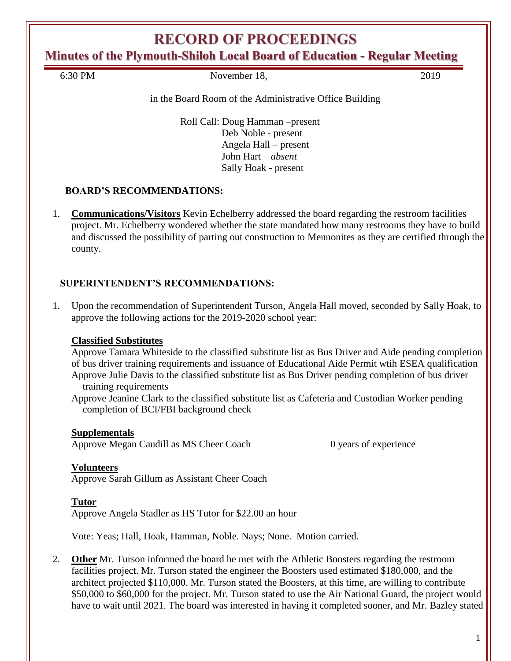# **RECORD OF PROCEEDINGS**

**Minutes of the Plymouth-Shiloh Local Board of Education - Regular Meeting**

6:30 PM November 18, 2019

### in the Board Room of the Administrative Office Building

Roll Call: Doug Hamman –present Deb Noble - present Angela Hall – present John Hart – *absent* Sally Hoak - present

## **BOARD'S RECOMMENDATIONS:**

1. **Communications/Visitors** Kevin Echelberry addressed the board regarding the restroom facilities project. Mr. Echelberry wondered whether the state mandated how many restrooms they have to build and discussed the possibility of parting out construction to Mennonites as they are certified through the county.

### **SUPERINTENDENT'S RECOMMENDATIONS:**

1. Upon the recommendation of Superintendent Turson, Angela Hall moved, seconded by Sally Hoak, to approve the following actions for the 2019-2020 school year:

### **Classified Substitutes**

Approve Tamara Whiteside to the classified substitute list as Bus Driver and Aide pending completion of bus driver training requirements and issuance of Educational Aide Permit wtih ESEA qualification Approve Julie Davis to the classified substitute list as Bus Driver pending completion of bus driver training requirements

Approve Jeanine Clark to the classified substitute list as Cafeteria and Custodian Worker pending completion of BCI/FBI background check

### **Supplementals**

Approve Megan Caudill as MS Cheer Coach 0 years of experience

### **Volunteers**

Approve Sarah Gillum as Assistant Cheer Coach

### **Tutor**

Approve Angela Stadler as HS Tutor for \$22.00 an hour

Vote: Yeas; Hall, Hoak, Hamman, Noble. Nays; None. Motion carried.

2. **Other** Mr. Turson informed the board he met with the Athletic Boosters regarding the restroom facilities project. Mr. Turson stated the engineer the Boosters used estimated \$180,000, and the architect projected \$110,000. Mr. Turson stated the Boosters, at this time, are willing to contribute \$50,000 to \$60,000 for the project. Mr. Turson stated to use the Air National Guard, the project would have to wait until 2021. The board was interested in having it completed sooner, and Mr. Bazley stated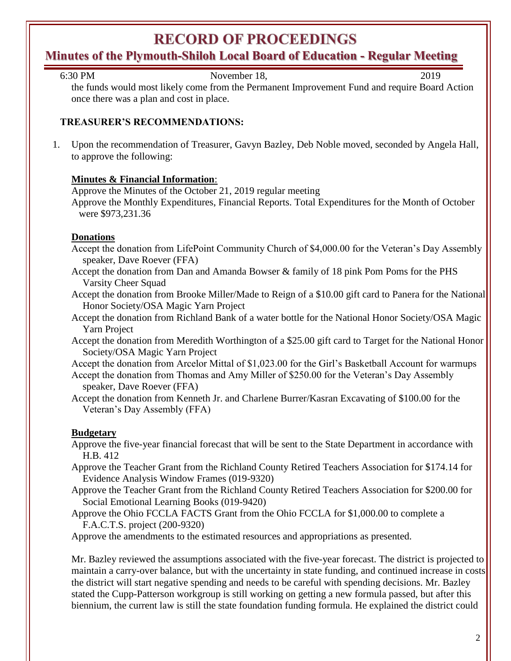# **RECORD OF PROCEEDINGS**

# **Minutes of the Plymouth-Shiloh Local Board of Education - Regular Meeting**

| 6:30 PM | November 18, | 2019 |  |
|---------|--------------|------|--|
|         |              |      |  |

the funds would most likely come from the Permanent Improvement Fund and require Board Action once there was a plan and cost in place.

## **TREASURER'S RECOMMENDATIONS:**

1. Upon the recommendation of Treasurer, Gavyn Bazley, Deb Noble moved, seconded by Angela Hall, to approve the following:

### **Minutes & Financial Information**:

Approve the Minutes of the October 21, 2019 regular meeting

Approve the Monthly Expenditures, Financial Reports. Total Expenditures for the Month of October were \$973,231.36

### **Donations**

- Accept the donation from LifePoint Community Church of \$4,000.00 for the Veteran's Day Assembly speaker, Dave Roever (FFA)
- Accept the donation from Dan and Amanda Bowser & family of 18 pink Pom Poms for the PHS Varsity Cheer Squad
- Accept the donation from Brooke Miller/Made to Reign of a \$10.00 gift card to Panera for the National Honor Society/OSA Magic Yarn Project
- Accept the donation from Richland Bank of a water bottle for the National Honor Society/OSA Magic Yarn Project
- Accept the donation from Meredith Worthington of a \$25.00 gift card to Target for the National Honor Society/OSA Magic Yarn Project

Accept the donation from Arcelor Mittal of \$1,023.00 for the Girl's Basketball Account for warmups Accept the donation from Thomas and Amy Miller of \$250.00 for the Veteran's Day Assembly speaker, Dave Roever (FFA)

Accept the donation from Kenneth Jr. and Charlene Burrer/Kasran Excavating of \$100.00 for the Veteran's Day Assembly (FFA)

## **Budgetary**

- Approve the five-year financial forecast that will be sent to the State Department in accordance with H.B. 412
- Approve the Teacher Grant from the Richland County Retired Teachers Association for \$174.14 for Evidence Analysis Window Frames (019-9320)
- Approve the Teacher Grant from the Richland County Retired Teachers Association for \$200.00 for Social Emotional Learning Books (019-9420)
- Approve the Ohio FCCLA FACTS Grant from the Ohio FCCLA for \$1,000.00 to complete a F.A.C.T.S. project (200-9320)

Approve the amendments to the estimated resources and appropriations as presented.

Mr. Bazley reviewed the assumptions associated with the five-year forecast. The district is projected to maintain a carry-over balance, but with the uncertainty in state funding, and continued increase in costs the district will start negative spending and needs to be careful with spending decisions. Mr. Bazley stated the Cupp-Patterson workgroup is still working on getting a new formula passed, but after this biennium, the current law is still the state foundation funding formula. He explained the district could